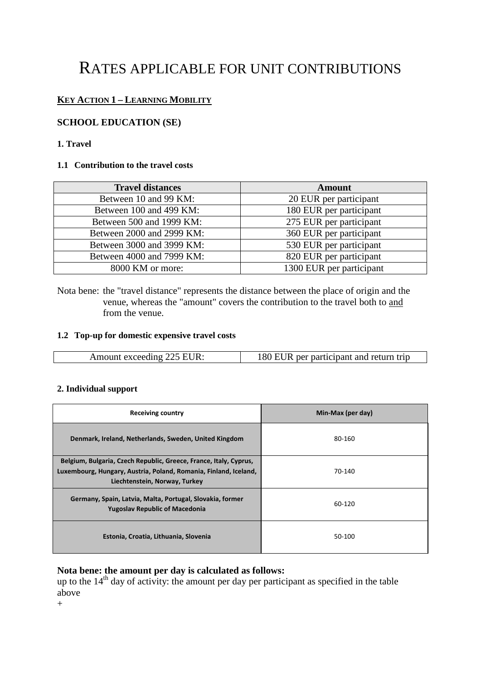# RATES APPLICABLE FOR UNIT CONTRIBUTIONS

## **KEY ACTION 1 – LEARNING MOBILITY**

## **SCHOOL EDUCATION (SE)**

#### **1. Travel**

#### **1.1 Contribution to the travel costs**

| <b>Travel distances</b>   | <b>Amount</b>            |
|---------------------------|--------------------------|
| Between 10 and 99 KM:     | 20 EUR per participant   |
| Between 100 and 499 KM:   | 180 EUR per participant  |
| Between 500 and 1999 KM:  | 275 EUR per participant  |
| Between 2000 and 2999 KM: | 360 EUR per participant  |
| Between 3000 and 3999 KM: | 530 EUR per participant  |
| Between 4000 and 7999 KM: | 820 EUR per participant  |
| 8000 KM or more:          | 1300 EUR per participant |

Nota bene: the "travel distance" represents the distance between the place of origin and the venue, whereas the "amount" covers the contribution to the travel both to and from the venue.

#### **1.2 Top-up for domestic expensive travel costs**

| Amount exceeding 225 EUR: | 180 EUR per participant and return trip |
|---------------------------|-----------------------------------------|
|---------------------------|-----------------------------------------|

#### **2. Individual support**

| <b>Receiving country</b>                                                                                                                                               | Min-Max (per day) |
|------------------------------------------------------------------------------------------------------------------------------------------------------------------------|-------------------|
| Denmark, Ireland, Netherlands, Sweden, United Kingdom                                                                                                                  | 80-160            |
| Belgium, Bulgaria, Czech Republic, Greece, France, Italy, Cyprus,<br>Luxembourg, Hungary, Austria, Poland, Romania, Finland, Iceland,<br>Liechtenstein, Norway, Turkey | 70-140            |
| Germany, Spain, Latvia, Malta, Portugal, Slovakia, former<br><b>Yugoslav Republic of Macedonia</b>                                                                     | 60-120            |
| Estonia, Croatia, Lithuania, Slovenia                                                                                                                                  | 50-100            |

## **Nota bene: the amount per day is calculated as follows:**

up to the  $14<sup>th</sup>$  day of activity: the amount per day per participant as specified in the table above

 $+$